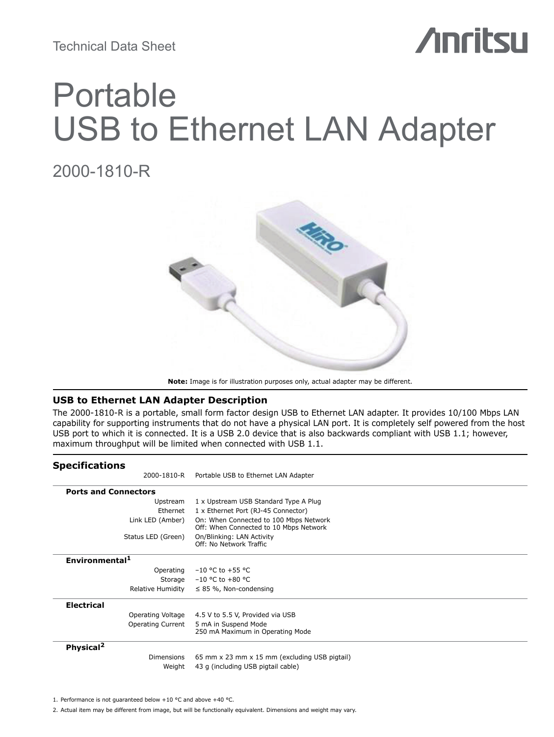Technical Data Sheet

# **Anritsu**

# Portable USB to Ethernet LAN Adapter

## 2000-1810-R



**Note:** Image is for illustration purposes only, actual adapter may be different.

## **USB to Ethernet LAN Adapter Description**

The 2000-1810-R is a portable, small form factor design USB to Ethernet LAN adapter. It provides 10/100 Mbps LAN capability for supporting instruments that do not have a physical LAN port. It is completely self powered from the host USB port to which it is connected. It is a USB 2.0 device that is also backwards compliant with USB 1.1; however, maximum throughput will be limited when connected with USB 1.1.

| <b>Specifications</b>       |                                                                                  |
|-----------------------------|----------------------------------------------------------------------------------|
| 2000-1810-R                 | Portable USB to Ethernet LAN Adapter                                             |
| <b>Ports and Connectors</b> |                                                                                  |
| Upstream                    | 1 x Upstream USB Standard Type A Plug                                            |
| Ethernet                    | 1 x Ethernet Port (RJ-45 Connector)                                              |
| Link LED (Amber)            | On: When Connected to 100 Mbps Network<br>Off: When Connected to 10 Mbps Network |
| Status LED (Green)          | On/Blinking: LAN Activity<br>Off: No Network Traffic                             |
| Environmental <sup>1</sup>  |                                                                                  |
| Operating                   | $-10$ °C to +55 °C                                                               |
|                             | Storage $-10$ °C to +80 °C                                                       |
| Relative Humidity           | $\leq$ 85 %, Non-condensing                                                      |
| <b>Electrical</b>           |                                                                                  |
| Operating Voltage           | 4.5 V to 5.5 V, Provided via USB                                                 |
| <b>Operating Current</b>    | 5 mA in Suspend Mode<br>250 mA Maximum in Operating Mode                         |
| Physical <sup>2</sup>       |                                                                                  |
| <b>Dimensions</b>           | 65 mm x 23 mm x 15 mm (excluding USB pigtail)                                    |
| Weight                      | 43 g (including USB pigtail cable)                                               |

1. Performance is not guaranteed below +10 °C and above +40 °C.

2. Actual item may be different from image, but will be functionally equivalent. Dimensions and weight may vary.